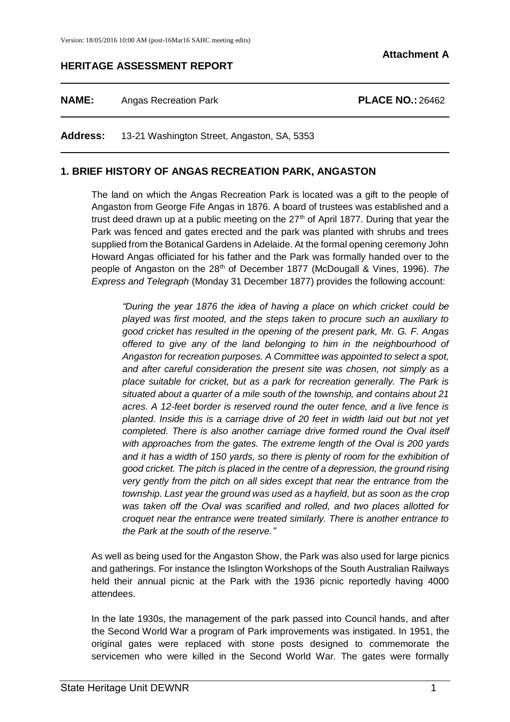### **HERITAGE ASSESSMENT REPORT**

**NAME:** Angas Recreation Park **PLACE NO.:** 26462

**Address:** 13-21 Washington Street, Angaston, SA, 5353

### **1. BRIEF HISTORY OF ANGAS RECREATION PARK, ANGASTON**

The land on which the Angas Recreation Park is located was a gift to the people of Angaston from George Fife Angas in 1876. A board of trustees was established and a trust deed drawn up at a public meeting on the  $27<sup>th</sup>$  of April 1877. During that year the Park was fenced and gates erected and the park was planted with shrubs and trees supplied from the Botanical Gardens in Adelaide. At the formal opening ceremony John Howard Angas officiated for his father and the Park was formally handed over to the people of Angaston on the 28<sup>th</sup> of December 1877 (McDougall & Vines, 1996). The *Express and Telegraph* (Monday 31 December 1877) provides the following account:

*"During the year 1876 the idea of having a place on which cricket could be played was first mooted, and the steps taken to procure such an auxiliary to good cricket has resulted in the opening of the present park, Mr. G. F. Angas offered to give any of the land belonging to him in the neighbourhood of Angaston for recreation purposes. A Committee was appointed to select a spot, and after careful consideration the present site was chosen, not simply as a place suitable for cricket, but as a park for recreation generally. The Park is situated about a quarter of a mile south of the township, and contains about 21 acres. A 12-feet border is reserved round the outer fence, and a live fence is planted. Inside this is a carriage drive of 20 feet in width laid out but not yet completed. There is also another carriage drive formed round the Oval itself with approaches from the gates. The extreme length of the Oval is 200 yards and it has a width of 150 yards, so there is plenty of room for the exhibition of good cricket. The pitch is placed in the centre of a depression, the ground rising very gently from the pitch on all sides except that near the entrance from the township. Last year the ground was used as a hayfield, but as soon as the crop was taken off the Oval was scarified and rolled, and two places allotted for croquet near the entrance were treated similarly. There is another entrance to the Park at the south of the reserve."*

As well as being used for the Angaston Show, the Park was also used for large picnics and gatherings. For instance the Islington Workshops of the South Australian Railways held their annual picnic at the Park with the 1936 picnic reportedly having 4000 attendees.

In the late 1930s, the management of the park passed into Council hands, and after the Second World War a program of Park improvements was instigated. In 1951, the original gates were replaced with stone posts designed to commemorate the servicemen who were killed in the Second World War. The gates were formally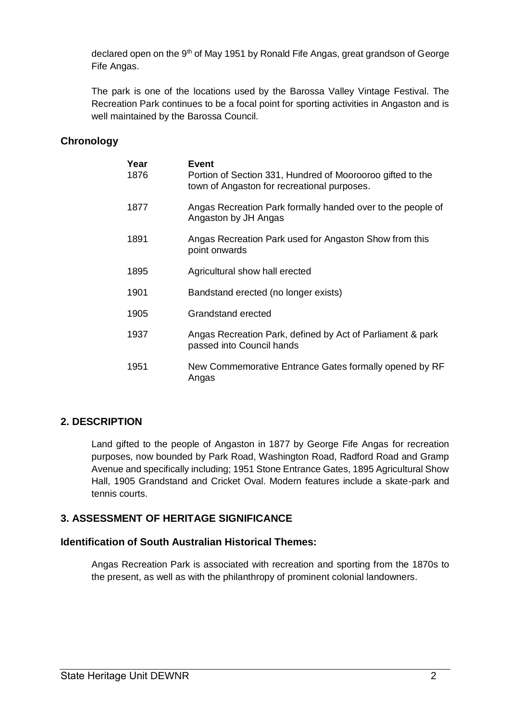declared open on the 9<sup>th</sup> of May 1951 by Ronald Fife Angas, great grandson of George Fife Angas.

The park is one of the locations used by the Barossa Valley Vintage Festival. The Recreation Park continues to be a focal point for sporting activities in Angaston and is well maintained by the Barossa Council.

# **Chronology**

| Year<br>1876 | Event<br>Portion of Section 331, Hundred of Moorooroo gifted to the<br>town of Angaston for recreational purposes. |  |
|--------------|--------------------------------------------------------------------------------------------------------------------|--|
| 1877         | Angas Recreation Park formally handed over to the people of<br>Angaston by JH Angas                                |  |
| 1891         | Angas Recreation Park used for Angaston Show from this<br>point onwards                                            |  |
| 1895         | Agricultural show hall erected                                                                                     |  |
| 1901         | Bandstand erected (no longer exists)                                                                               |  |
| 1905         | Grandstand erected                                                                                                 |  |
| 1937         | Angas Recreation Park, defined by Act of Parliament & park<br>passed into Council hands                            |  |
| 1951         | New Commemorative Entrance Gates formally opened by RF<br>Angas                                                    |  |

# **2. DESCRIPTION**

Land gifted to the people of Angaston in 1877 by George Fife Angas for recreation purposes, now bounded by Park Road, Washington Road, Radford Road and Gramp Avenue and specifically including; 1951 Stone Entrance Gates, 1895 Agricultural Show Hall, 1905 Grandstand and Cricket Oval. Modern features include a skate-park and tennis courts.

# **3. ASSESSMENT OF HERITAGE SIGNIFICANCE**

# **Identification of South Australian Historical Themes:**

Angas Recreation Park is associated with recreation and sporting from the 1870s to the present, as well as with the philanthropy of prominent colonial landowners.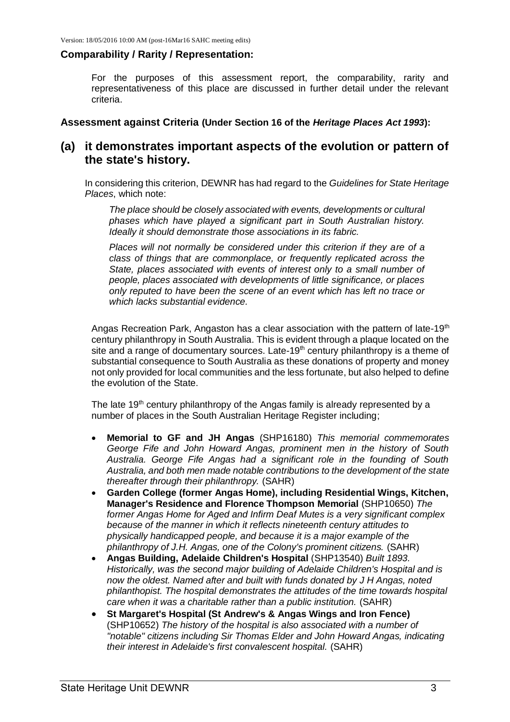#### **Comparability / Rarity / Representation:**

For the purposes of this assessment report, the comparability, rarity and representativeness of this place are discussed in further detail under the relevant criteria.

**Assessment against Criteria (Under Section 16 of the** *Heritage Places Act 1993***):**

# **(a) it demonstrates important aspects of the evolution or pattern of the state's history.**

In considering this criterion, DEWNR has had regard to the *Guidelines for State Heritage Places*, which note:

*The place should be closely associated with events, developments or cultural phases which have played a significant part in South Australian history. Ideally it should demonstrate those associations in its fabric.* 

*Places will not normally be considered under this criterion if they are of a class of things that are commonplace, or frequently replicated across the State, places associated with events of interest only to a small number of people, places associated with developments of little significance, or places only reputed to have been the scene of an event which has left no trace or which lacks substantial evidence.* 

Angas Recreation Park, Angaston has a clear association with the pattern of late-19<sup>th</sup> century philanthropy in South Australia. This is evident through a plaque located on the site and a range of documentary sources. Late-19<sup>th</sup> century philanthropy is a theme of substantial consequence to South Australia as these donations of property and money not only provided for local communities and the less fortunate, but also helped to define the evolution of the State.

The late 19<sup>th</sup> century philanthropy of the Angas family is already represented by a number of places in the South Australian Heritage Register including;

- **Memorial to GF and JH Angas** (SHP16180) *This memorial commemorates George Fife and John Howard Angas, prominent men in the history of South Australia. George Fife Angas had a significant role in the founding of South Australia, and both men made notable contributions to the development of the state thereafter through their philanthropy.* (SAHR)
- **Garden College (former Angas Home), including Residential Wings, Kitchen, Manager's Residence and Florence Thompson Memorial** (SHP10650) *The former Angas Home for Aged and Infirm Deaf Mutes is a very significant complex because of the manner in which it reflects nineteenth century attitudes to physically handicapped people, and because it is a major example of the philanthropy of J.H. Angas, one of the Colony's prominent citizens.* (SAHR)
- **Angas Building, Adelaide Children's Hospital** (SHP13540) *Built 1893. Historically, was the second major building of Adelaide Children's Hospital and is now the oldest. Named after and built with funds donated by J H Angas, noted philanthopist. The hospital demonstrates the attitudes of the time towards hospital care when it was a charitable rather than a public institution.* (SAHR)
- **St Margaret's Hospital (St Andrew's & Angas Wings and Iron Fence)** (SHP10652) *The history of the hospital is also associated with a number of "notable" citizens including Sir Thomas Elder and John Howard Angas, indicating their interest in Adelaide's first convalescent hospital.* (SAHR)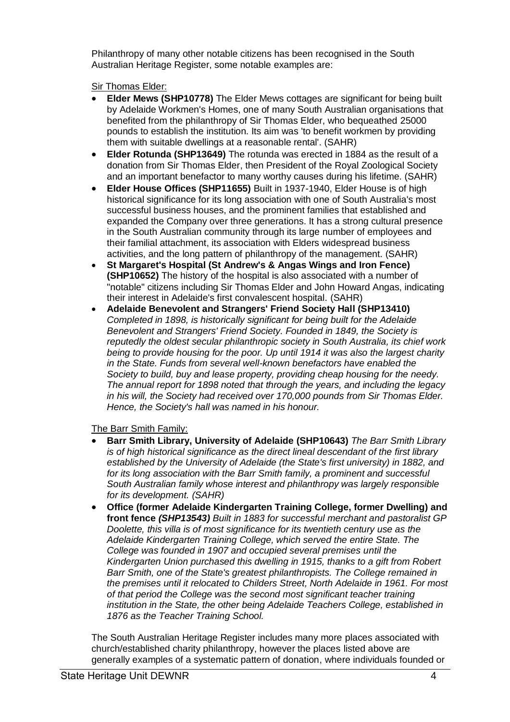Philanthropy of many other notable citizens has been recognised in the South Australian Heritage Register, some notable examples are:

Sir Thomas Elder:

- **Elder Mews (SHP10778)** The Elder Mews cottages are significant for being built by Adelaide Workmen's Homes, one of many South Australian organisations that benefited from the philanthropy of Sir Thomas Elder, who bequeathed 25000 pounds to establish the institution. Its aim was 'to benefit workmen by providing them with suitable dwellings at a reasonable rental'. (SAHR)
- **Elder Rotunda (SHP13649)** The rotunda was erected in 1884 as the result of a donation from Sir Thomas Elder, then President of the Royal Zoological Society and an important benefactor to many worthy causes during his lifetime. (SAHR)
- **Elder House Offices (SHP11655)** Built in 1937-1940, Elder House is of high historical significance for its long association with one of South Australia's most successful business houses, and the prominent families that established and expanded the Company over three generations. It has a strong cultural presence in the South Australian community through its large number of employees and their familial attachment, its association with Elders widespread business activities, and the long pattern of philanthropy of the management. (SAHR)
- **St Margaret's Hospital (St Andrew's & Angas Wings and Iron Fence) (SHP10652)** The history of the hospital is also associated with a number of "notable" citizens including Sir Thomas Elder and John Howard Angas, indicating their interest in Adelaide's first convalescent hospital. (SAHR)
- **Adelaide Benevolent and Strangers' Friend Society Hall (SHP13410)** *Completed in 1898, is historically significant for being built for the Adelaide Benevolent and Strangers' Friend Society. Founded in 1849, the Society is reputedly the oldest secular philanthropic society in South Australia, its chief work being to provide housing for the poor. Up until 1914 it was also the largest charity in the State. Funds from several well-known benefactors have enabled the Society to build, buy and lease property, providing cheap housing for the needy. The annual report for 1898 noted that through the years, and including the legacy in his will, the Society had received over 170,000 pounds from Sir Thomas Elder. Hence, the Society's hall was named in his honour.*

The Barr Smith Family:

- **Barr Smith Library, University of Adelaide (SHP10643)** *The Barr Smith Library is of high historical significance as the direct lineal descendant of the first library established by the University of Adelaide (the State's first university) in 1882, and for its long association with the Barr Smith family, a prominent and successful South Australian family whose interest and philanthropy was largely responsible for its development. (SAHR)*
- **Office (former Adelaide Kindergarten Training College, former Dwelling) and front fence** *(SHP13543) Built in 1883 for successful merchant and pastoralist GP Doolette, this villa is of most significance for its twentieth century use as the Adelaide Kindergarten Training College, which served the entire State. The College was founded in 1907 and occupied several premises until the Kindergarten Union purchased this dwelling in 1915, thanks to a gift from Robert Barr Smith, one of the State's greatest philanthropists. The College remained in the premises until it relocated to Childers Street, North Adelaide in 1961. For most of that period the College was the second most significant teacher training institution in the State, the other being Adelaide Teachers College, established in 1876 as the Teacher Training School.*

The South Australian Heritage Register includes many more places associated with church/established charity philanthropy, however the places listed above are generally examples of a systematic pattern of donation, where individuals founded or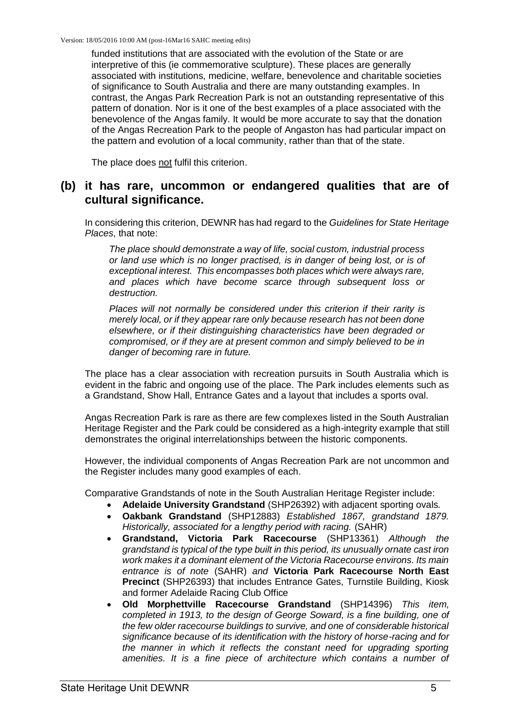funded institutions that are associated with the evolution of the State or are interpretive of this (ie commemorative sculpture). These places are generally associated with institutions, medicine, welfare, benevolence and charitable societies of significance to South Australia and there are many outstanding examples. In contrast, the Angas Park Recreation Park is not an outstanding representative of this pattern of donation. Nor is it one of the best examples of a place associated with the benevolence of the Angas family. It would be more accurate to say that the donation of the Angas Recreation Park to the people of Angaston has had particular impact on the pattern and evolution of a local community, rather than that of the state.

The place does not fulfil this criterion.

# **(b) it has rare, uncommon or endangered qualities that are of cultural significance.**

In considering this criterion, DEWNR has had regard to the *Guidelines for State Heritage Places*, that note:

*The place should demonstrate a way of life, social custom, industrial process or land use which is no longer practised, is in danger of being lost, or is of exceptional interest. This encompasses both places which were always rare, and places which have become scarce through subsequent loss or destruction.* 

*Places will not normally be considered under this criterion if their rarity is merely local, or if they appear rare only because research has not been done elsewhere, or if their distinguishing characteristics have been degraded or compromised, or if they are at present common and simply believed to be in danger of becoming rare in future.* 

The place has a clear association with recreation pursuits in South Australia which is evident in the fabric and ongoing use of the place. The Park includes elements such as a Grandstand, Show Hall, Entrance Gates and a layout that includes a sports oval.

Angas Recreation Park is rare as there are few complexes listed in the South Australian Heritage Register and the Park could be considered as a high-integrity example that still demonstrates the original interrelationships between the historic components.

However, the individual components of Angas Recreation Park are not uncommon and the Register includes many good examples of each.

Comparative Grandstands of note in the South Australian Heritage Register include:

- **Adelaide University Grandstand** (SHP26392) with adjacent sporting ovals.
- **Oakbank Grandstand** (SHP12883) *Established 1867, grandstand 1879. Historically, associated for a lengthy period with racing.* (SAHR)
- **Grandstand, Victoria Park Racecourse** (SHP13361) *Although the grandstand is typical of the type built in this period, its unusually ornate cast iron work makes it a dominant element of the Victoria Racecourse environs. Its main entrance is of note* (SAHR) *and* **Victoria Park Racecourse North East Precinct** (SHP26393) that includes Entrance Gates, Turnstile Building, Kiosk and former Adelaide Racing Club Office
- **Old Morphettville Racecourse Grandstand** (SHP14396) *This item, completed in 1913, to the design of George Soward, is a fine building, one of the few older racecourse buildings to survive, and one of considerable historical significance because of its identification with the history of horse-racing and for the manner in which it reflects the constant need for upgrading sporting amenities. It is a fine piece of architecture which contains a number of*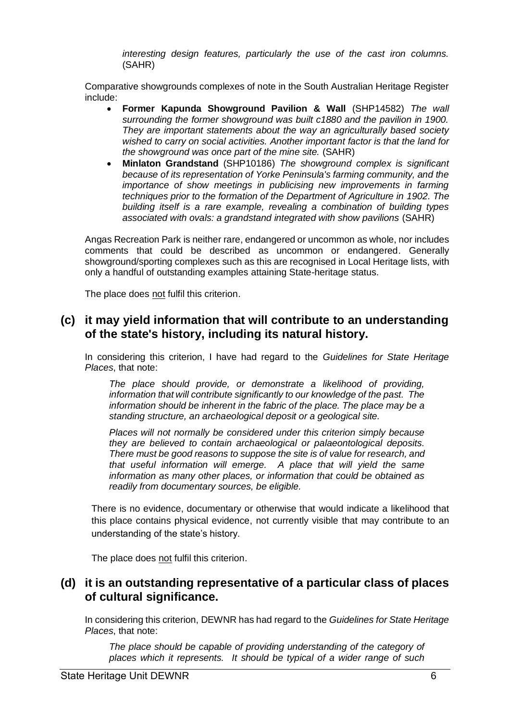*interesting design features, particularly the use of the cast iron columns.*  (SAHR)

Comparative showgrounds complexes of note in the South Australian Heritage Register include:

- **Former Kapunda Showground Pavilion & Wall** (SHP14582) *The wall surrounding the former showground was built c1880 and the pavilion in 1900. They are important statements about the way an agriculturally based society wished to carry on social activities. Another important factor is that the land for the showground was once part of the mine site.* (SAHR)
- **Minlaton Grandstand** (SHP10186) *The showground complex is significant because of its representation of Yorke Peninsula's farming community, and the importance of show meetings in publicising new improvements in farming techniques prior to the formation of the Department of Agriculture in 1902. The building itself is a rare example, revealing a combination of building types associated with ovals: a grandstand integrated with show pavilions* (SAHR)

Angas Recreation Park is neither rare, endangered or uncommon as whole, nor includes comments that could be described as uncommon or endangered. Generally showground/sporting complexes such as this are recognised in Local Heritage lists, with only a handful of outstanding examples attaining State-heritage status.

The place does not fulfil this criterion.

# **(c) it may yield information that will contribute to an understanding of the state's history, including its natural history.**

In considering this criterion, I have had regard to the *Guidelines for State Heritage Places*, that note:

*The place should provide, or demonstrate a likelihood of providing, information that will contribute significantly to our knowledge of the past. The information should be inherent in the fabric of the place. The place may be a standing structure, an archaeological deposit or a geological site.* 

*Places will not normally be considered under this criterion simply because they are believed to contain archaeological or palaeontological deposits. There must be good reasons to suppose the site is of value for research, and that useful information will emerge. A place that will yield the same information as many other places, or information that could be obtained as readily from documentary sources, be eligible.* 

There is no evidence, documentary or otherwise that would indicate a likelihood that this place contains physical evidence, not currently visible that may contribute to an understanding of the state's history.

The place does not fulfil this criterion.

# **(d) it is an outstanding representative of a particular class of places of cultural significance.**

In considering this criterion, DEWNR has had regard to the *Guidelines for State Heritage Places*, that note:

The place should be capable of providing understanding of the category of *places which it represents. It should be typical of a wider range of such*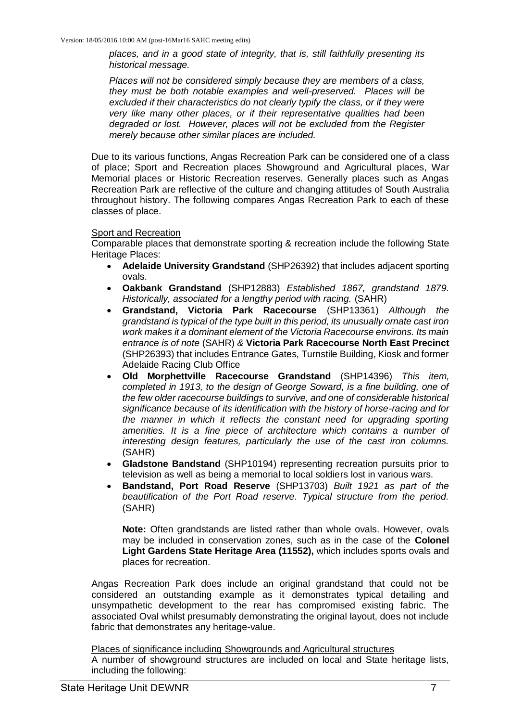*places, and in a good state of integrity, that is, still faithfully presenting its historical message.* 

*Places will not be considered simply because they are members of a class, they must be both notable examples and well-preserved. Places will be excluded if their characteristics do not clearly typify the class, or if they were very like many other places, or if their representative qualities had been degraded or lost. However, places will not be excluded from the Register merely because other similar places are included.* 

Due to its various functions, Angas Recreation Park can be considered one of a class of place; Sport and Recreation places Showground and Agricultural places, War Memorial places or Historic Recreation reserves. Generally places such as Angas Recreation Park are reflective of the culture and changing attitudes of South Australia throughout history. The following compares Angas Recreation Park to each of these classes of place.

#### Sport and Recreation

Comparable places that demonstrate sporting & recreation include the following State Heritage Places:

- **Adelaide University Grandstand** (SHP26392) that includes adjacent sporting ovals.
- **Oakbank Grandstand** (SHP12883) *Established 1867, grandstand 1879. Historically, associated for a lengthy period with racing.* (SAHR)
- **Grandstand, Victoria Park Racecourse** (SHP13361) *Although the grandstand is typical of the type built in this period, its unusually ornate cast iron work makes it a dominant element of the Victoria Racecourse environs. Its main entrance is of note* (SAHR) *&* **Victoria Park Racecourse North East Precinct** (SHP26393) that includes Entrance Gates, Turnstile Building, Kiosk and former Adelaide Racing Club Office
- **Old Morphettville Racecourse Grandstand** (SHP14396) *This item, completed in 1913, to the design of George Soward, is a fine building, one of the few older racecourse buildings to survive, and one of considerable historical significance because of its identification with the history of horse-racing and for the manner in which it reflects the constant need for upgrading sporting amenities. It is a fine piece of architecture which contains a number of interesting design features, particularly the use of the cast iron columns.* (SAHR)
- **Gladstone Bandstand** (SHP10194) representing recreation pursuits prior to television as well as being a memorial to local soldiers lost in various wars.
- **Bandstand, Port Road Reserve** (SHP13703) *Built 1921 as part of the beautification of the Port Road reserve. Typical structure from the period.* (SAHR)

**Note:** Often grandstands are listed rather than whole ovals. However, ovals may be included in conservation zones, such as in the case of the **Colonel Light Gardens State Heritage Area (11552),** which includes sports ovals and places for recreation.

Angas Recreation Park does include an original grandstand that could not be considered an outstanding example as it demonstrates typical detailing and unsympathetic development to the rear has compromised existing fabric. The associated Oval whilst presumably demonstrating the original layout, does not include fabric that demonstrates any heritage-value.

Places of significance including Showgrounds and Agricultural structures A number of showground structures are included on local and State heritage lists, including the following: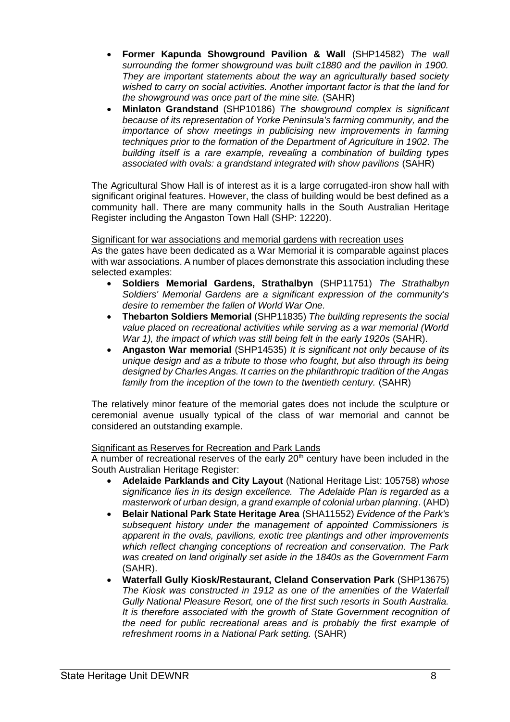- **Former Kapunda Showground Pavilion & Wall** (SHP14582) *The wall surrounding the former showground was built c1880 and the pavilion in 1900. They are important statements about the way an agriculturally based society wished to carry on social activities. Another important factor is that the land for the showground was once part of the mine site.* (SAHR)
- **Minlaton Grandstand** (SHP10186) *The showground complex is significant because of its representation of Yorke Peninsula's farming community, and the importance of show meetings in publicising new improvements in farming techniques prior to the formation of the Department of Agriculture in 1902. The building itself is a rare example, revealing a combination of building types associated with ovals: a grandstand integrated with show pavilions* (SAHR)

The Agricultural Show Hall is of interest as it is a large corrugated-iron show hall with significant original features. However, the class of building would be best defined as a community hall. There are many community halls in the South Australian Heritage Register including the Angaston Town Hall (SHP: 12220).

#### Significant for war associations and memorial gardens with recreation uses

As the gates have been dedicated as a War Memorial it is comparable against places with war associations. A number of places demonstrate this association including these selected examples:

- **Soldiers Memorial Gardens, Strathalbyn** (SHP11751) *The Strathalbyn Soldiers' Memorial Gardens are a significant expression of the community's desire to remember the fallen of World War One.*
- **Thebarton Soldiers Memorial** (SHP11835) *The building represents the social value placed on recreational activities while serving as a war memorial (World War 1), the impact of which was still being felt in the early 1920s* (SAHR).
- **Angaston War memorial** (SHP14535) *It is significant not only because of its unique design and as a tribute to those who fought, but also through its being designed by Charles Angas. It carries on the philanthropic tradition of the Angas* family from the inception of the town to the twentieth century. *(SAHR)*

The relatively minor feature of the memorial gates does not include the sculpture or ceremonial avenue usually typical of the class of war memorial and cannot be considered an outstanding example.

#### Significant as Reserves for Recreation and Park Lands

A number of recreational reserves of the early  $20<sup>th</sup>$  century have been included in the South Australian Heritage Register:

- **Adelaide Parklands and City Layout** (National Heritage List: 105758) *whose significance lies in its design excellence. The Adelaide Plan is regarded as a masterwork of urban design, a grand example of colonial urban planning*. (AHD)
- **Belair National Park State Heritage Area** (SHA11552) *Evidence of the Park's subsequent history under the management of appointed Commissioners is apparent in the ovals, pavilions, exotic tree plantings and other improvements which reflect changing conceptions of recreation and conservation. The Park was created on land originally set aside in the 1840s as the Government Farm* (SAHR).
- **Waterfall Gully Kiosk/Restaurant, Cleland Conservation Park** (SHP13675) *The Kiosk was constructed in 1912 as one of the amenities of the Waterfall Gully National Pleasure Resort, one of the first such resorts in South Australia. It is therefore associated with the growth of State Government recognition of the need for public recreational areas and is probably the first example of refreshment rooms in a National Park setting.* (SAHR)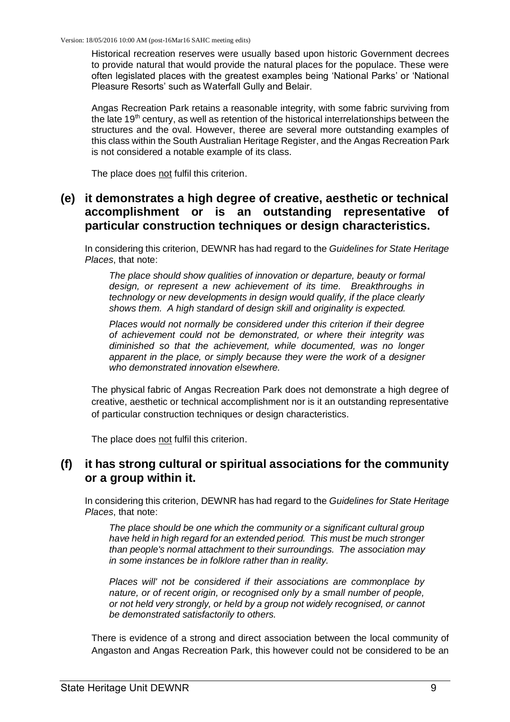Historical recreation reserves were usually based upon historic Government decrees to provide natural that would provide the natural places for the populace. These were often legislated places with the greatest examples being 'National Parks' or 'National Pleasure Resorts' such as Waterfall Gully and Belair.

Angas Recreation Park retains a reasonable integrity, with some fabric surviving from the late 19<sup>th</sup> century, as well as retention of the historical interrelationships between the structures and the oval. However, theree are several more outstanding examples of this class within the South Australian Heritage Register, and the Angas Recreation Park is not considered a notable example of its class.

The place does not fulfil this criterion.

# **(e) it demonstrates a high degree of creative, aesthetic or technical accomplishment or is an outstanding representative of particular construction techniques or design characteristics.**

In considering this criterion, DEWNR has had regard to the *Guidelines for State Heritage Places*, that note:

*The place should show qualities of innovation or departure, beauty or formal design, or represent a new achievement of its time. Breakthroughs in technology or new developments in design would qualify, if the place clearly shows them. A high standard of design skill and originality is expected.* 

*Places would not normally be considered under this criterion if their degree of achievement could not be demonstrated, or where their integrity was diminished so that the achievement, while documented, was no longer apparent in the place, or simply because they were the work of a designer who demonstrated innovation elsewhere.* 

The physical fabric of Angas Recreation Park does not demonstrate a high degree of creative, aesthetic or technical accomplishment nor is it an outstanding representative of particular construction techniques or design characteristics.

The place does not fulfil this criterion.

# **(f) it has strong cultural or spiritual associations for the community or a group within it.**

In considering this criterion, DEWNR has had regard to the *Guidelines for State Heritage Places*, that note:

*The place should be one which the community or a significant cultural group have held in high regard for an extended period. This must be much stronger than people's normal attachment to their surroundings. The association may in some instances be in folklore rather than in reality.* 

*Places will' not be considered if their associations are commonplace by nature, or of recent origin, or recognised only by a small number of people, or not held very strongly, or held by a group not widely recognised, or cannot be demonstrated satisfactorily to others.* 

There is evidence of a strong and direct association between the local community of Angaston and Angas Recreation Park, this however could not be considered to be an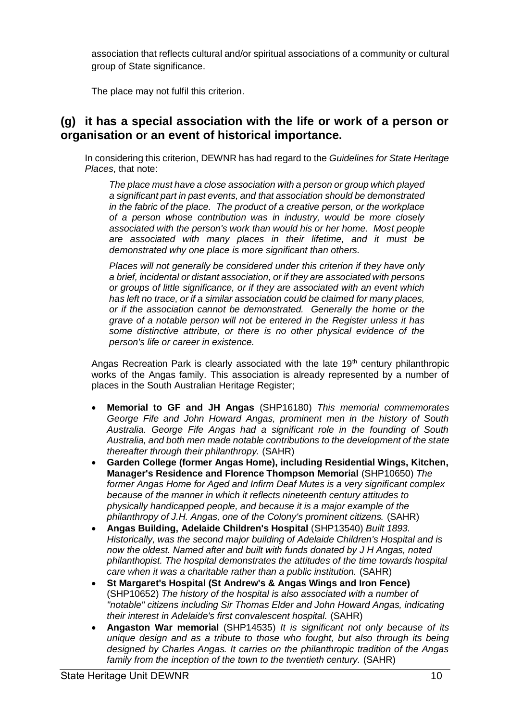association that reflects cultural and/or spiritual associations of a community or cultural group of State significance.

The place may not fulfil this criterion.

# **(g) it has a special association with the life or work of a person or organisation or an event of historical importance.**

In considering this criterion, DEWNR has had regard to the *Guidelines for State Heritage Places*, that note:

*The place must have a close association with a person or group which played a significant part in past events, and that association should be demonstrated in the fabric of the place. The product of a creative person, or the workplace of a person whose contribution was in industry, would be more closely associated with the person's work than would his or her home. Most people are associated with many places in their lifetime, and it must be demonstrated why one place is more significant than others.* 

*Places will not generally be considered under this criterion if they have only a brief, incidental or distant association, or if they are associated with persons or groups of little significance, or if they are associated with an event which has left no trace, or if a similar association could be claimed for many places, or if the association cannot be demonstrated. Generally the home or the grave of a notable person will not be entered in the Register unless it has some distinctive attribute, or there is no other physical evidence of the person's life or career in existence.* 

Angas Recreation Park is clearly associated with the late  $19<sup>th</sup>$  century philanthropic works of the Angas family. This association is already represented by a number of places in the South Australian Heritage Register;

- **Memorial to GF and JH Angas** (SHP16180) *This memorial commemorates George Fife and John Howard Angas, prominent men in the history of South Australia. George Fife Angas had a significant role in the founding of South Australia, and both men made notable contributions to the development of the state thereafter through their philanthropy.* (SAHR)
- **Garden College (former Angas Home), including Residential Wings, Kitchen, Manager's Residence and Florence Thompson Memorial** (SHP10650) *The former Angas Home for Aged and Infirm Deaf Mutes is a very significant complex because of the manner in which it reflects nineteenth century attitudes to physically handicapped people, and because it is a major example of the philanthropy of J.H. Angas, one of the Colony's prominent citizens.* (SAHR)
- **Angas Building, Adelaide Children's Hospital** (SHP13540) *Built 1893. Historically, was the second major building of Adelaide Children's Hospital and is now the oldest. Named after and built with funds donated by J H Angas, noted philanthopist. The hospital demonstrates the attitudes of the time towards hospital care when it was a charitable rather than a public institution.* (SAHR)
- **St Margaret's Hospital (St Andrew's & Angas Wings and Iron Fence)** (SHP10652) *The history of the hospital is also associated with a number of "notable" citizens including Sir Thomas Elder and John Howard Angas, indicating their interest in Adelaide's first convalescent hospital.* (SAHR)
- **Angaston War memorial** (SHP14535) *It is significant not only because of its unique design and as a tribute to those who fought, but also through its being designed by Charles Angas. It carries on the philanthropic tradition of the Angas* family from the inception of the town to the twentieth century. *(SAHR)*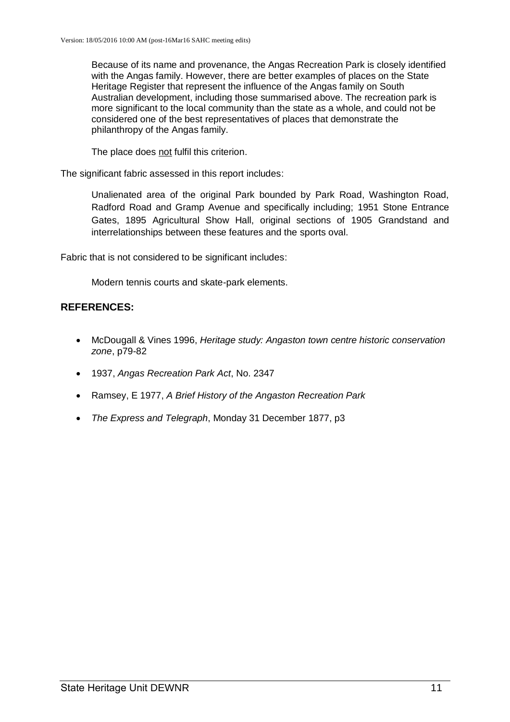Because of its name and provenance, the Angas Recreation Park is closely identified with the Angas family. However, there are better examples of places on the State Heritage Register that represent the influence of the Angas family on South Australian development, including those summarised above. The recreation park is more significant to the local community than the state as a whole, and could not be considered one of the best representatives of places that demonstrate the philanthropy of the Angas family.

The place does not fulfil this criterion.

The significant fabric assessed in this report includes:

Unalienated area of the original Park bounded by Park Road, Washington Road, Radford Road and Gramp Avenue and specifically including; 1951 Stone Entrance Gates, 1895 Agricultural Show Hall, original sections of 1905 Grandstand and interrelationships between these features and the sports oval.

Fabric that is not considered to be significant includes:

Modern tennis courts and skate-park elements.

# **REFERENCES:**

- McDougall & Vines 1996, *Heritage study: Angaston town centre historic conservation zone*, p79-82
- 1937, *Angas Recreation Park Act*, No. 2347
- Ramsey, E 1977, *A Brief History of the Angaston Recreation Park*
- *The Express and Telegraph*, Monday 31 December 1877, p3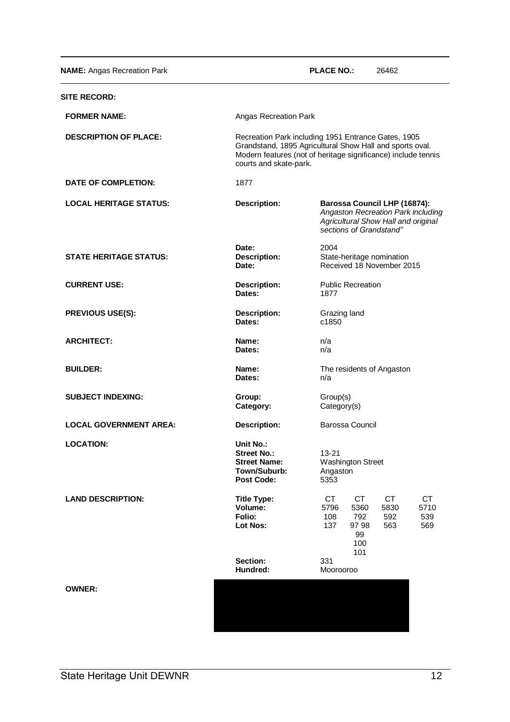**NAME:** Angas Recreation Park **PLACE NO.:** 26462

| <b>SITE RECORD:</b>           |                                                                                                                                                                                                            |                                                                                                                                                  |  |
|-------------------------------|------------------------------------------------------------------------------------------------------------------------------------------------------------------------------------------------------------|--------------------------------------------------------------------------------------------------------------------------------------------------|--|
| <b>FORMER NAME:</b>           | Angas Recreation Park                                                                                                                                                                                      |                                                                                                                                                  |  |
| <b>DESCRIPTION OF PLACE:</b>  | Recreation Park including 1951 Entrance Gates, 1905<br>Grandstand, 1895 Agricultural Show Hall and sports oval.<br>Modern features (not of heritage significance) include tennis<br>courts and skate-park. |                                                                                                                                                  |  |
| <b>DATE OF COMPLETION:</b>    | 1877                                                                                                                                                                                                       |                                                                                                                                                  |  |
| <b>LOCAL HERITAGE STATUS:</b> | <b>Description:</b>                                                                                                                                                                                        | <b>Barossa Council LHP (16874):</b><br>Angaston Recreation Park including<br>Agricultural Show Hall and original<br>sections of Grandstand"      |  |
| <b>STATE HERITAGE STATUS:</b> | Date:<br>Description:<br>Date:                                                                                                                                                                             | 2004<br>State-heritage nomination<br>Received 18 November 2015                                                                                   |  |
| <b>CURRENT USE:</b>           | Description:<br>Dates:                                                                                                                                                                                     | <b>Public Recreation</b><br>1877                                                                                                                 |  |
| <b>PREVIOUS USE(S):</b>       | <b>Description:</b><br>Dates:                                                                                                                                                                              | Grazing land<br>c1850                                                                                                                            |  |
| <b>ARCHITECT:</b>             | Name:<br>Dates:                                                                                                                                                                                            | n/a<br>n/a                                                                                                                                       |  |
| <b>BUILDER:</b>               | Name:<br>Dates:                                                                                                                                                                                            | The residents of Angaston<br>n/a                                                                                                                 |  |
| <b>SUBJECT INDEXING:</b>      | Group:<br>Category:                                                                                                                                                                                        | Group(s)<br>Category(s)                                                                                                                          |  |
| <b>LOCAL GOVERNMENT AREA:</b> | Description:                                                                                                                                                                                               | <b>Barossa Council</b>                                                                                                                           |  |
| <b>LOCATION:</b>              | Unit No.:<br><b>Street No.:</b><br><b>Street Name:</b><br>Town/Suburb:<br><b>Post Code:</b>                                                                                                                | $13 - 21$<br><b>Washington Street</b><br>Angaston<br>5353                                                                                        |  |
| <b>LAND DESCRIPTION:</b>      | <b>Title Type:</b><br>Volume:<br>Folio:<br>Lot Nos:                                                                                                                                                        | <b>CT</b><br><b>CT</b><br>CT<br><b>CT</b><br>5796<br>5360<br>5830<br>5710<br>792<br>539<br>108<br>592<br>563<br>137<br>97 98<br>569<br>99<br>100 |  |
|                               | Section:<br>Hundred:                                                                                                                                                                                       | 101<br>331<br>Moorooroo                                                                                                                          |  |
| <b>OWNER:</b>                 |                                                                                                                                                                                                            |                                                                                                                                                  |  |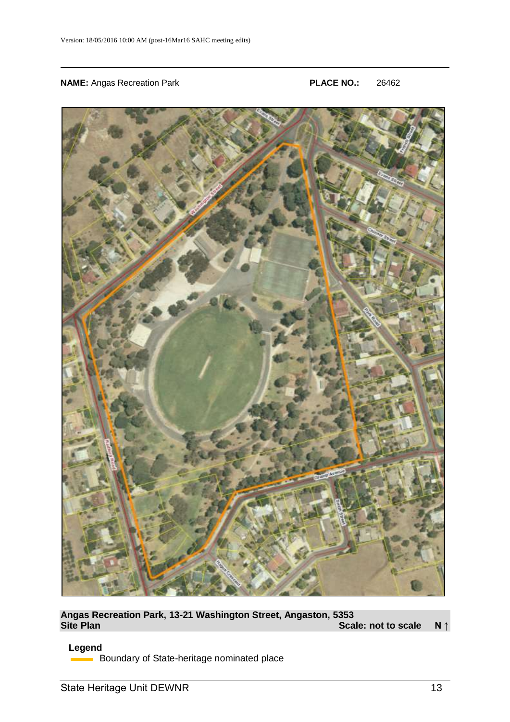#### **NAME:** Angas Recreation Park **PLACE NO.:** 26462



**Angas Recreation Park, 13-21 Washington Street, Angaston, 5353 Site Plan Scale: not to scale N ↑** 

#### **Legend**

**Boundary of State-heritage nominated place**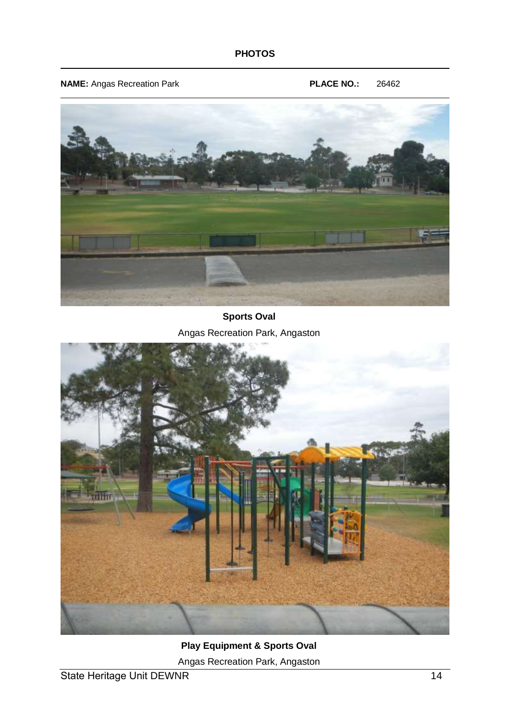**NAME:** Angas Recreation Park **PLACE NO.:** 26462



**Sports Oval**  Angas Recreation Park, Angaston



**Play Equipment & Sports Oval** 

Angas Recreation Park, Angaston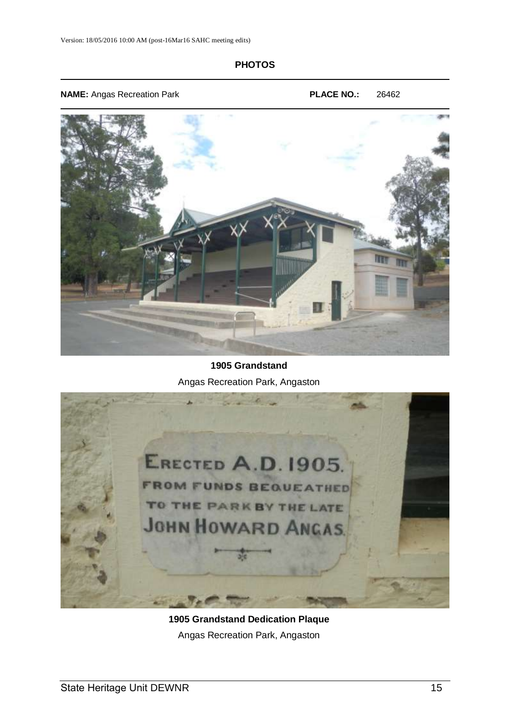## **PHOTOS**

**NAME:** Angas Recreation Park **PLACE NO.:** 26462



# **1905 Grandstand**  Angas Recreation Park, Angaston



**1905 Grandstand Dedication Plaque**  Angas Recreation Park, Angaston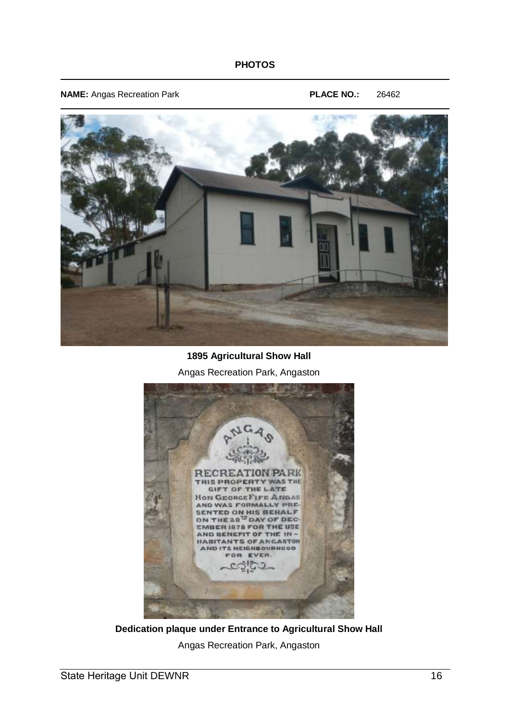## **PHOTOS**

**NAME:** Angas Recreation Park **PLACE NO.:** 26462



**1895 Agricultural Show Hall**  Angas Recreation Park, Angaston



**Dedication plaque under Entrance to Agricultural Show Hall**  Angas Recreation Park, Angaston